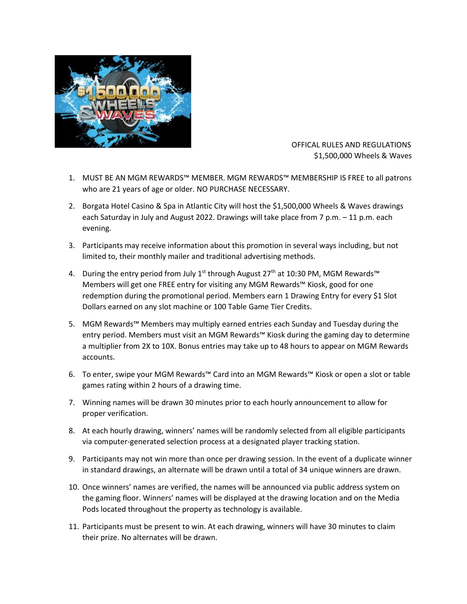

 OFFICAL RULES AND REGULATIONS \$1,500,000 Wheels & Waves

- 1. MUST BE AN MGM REWARDS™ MEMBER. MGM REWARDS™ MEMBERSHIP IS FREE to all patrons who are 21 years of age or older. NO PURCHASE NECESSARY.
- 2. Borgata Hotel Casino & Spa in Atlantic City will host the \$1,500,000 Wheels & Waves drawings each Saturday in July and August 2022. Drawings will take place from 7 p.m. – 11 p.m. each evening.
- 3. Participants may receive information about this promotion in several ways including, but not limited to, their monthly mailer and traditional advertising methods.
- 4. During the entry period from July 1<sup>st</sup> through August 27<sup>th</sup> at 10:30 PM, MGM Rewards™ Members will get one FREE entry for visiting any MGM Rewards™ Kiosk, good for one redemption during the promotional period. Members earn 1 Drawing Entry for every \$1 Slot Dollars earned on any slot machine or 100 Table Game Tier Credits.
- 5. MGM Rewards™ Members may multiply earned entries each Sunday and Tuesday during the entry period. Members must visit an MGM Rewards™ Kiosk during the gaming day to determine a multiplier from 2X to 10X. Bonus entries may take up to 48 hours to appear on MGM Rewards accounts.
- 6. To enter, swipe your MGM Rewards™ Card into an MGM Rewards™ Kiosk or open a slot or table games rating within 2 hours of a drawing time.
- 7. Winning names will be drawn 30 minutes prior to each hourly announcement to allow for proper verification.
- 8. At each hourly drawing, winners' names will be randomly selected from all eligible participants via computer-generated selection process at a designated player tracking station.
- 9. Participants may not win more than once per drawing session. In the event of a duplicate winner in standard drawings, an alternate will be drawn until a total of 34 unique winners are drawn.
- 10. Once winners' names are verified, the names will be announced via public address system on the gaming floor. Winners' names will be displayed at the drawing location and on the Media Pods located throughout the property as technology is available.
- 11. Participants must be present to win. At each drawing, winners will have 30 minutes to claim their prize. No alternates will be drawn.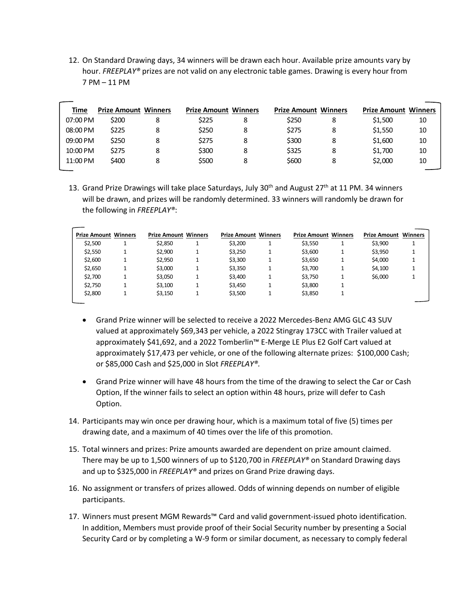12. On Standard Drawing days, 34 winners will be drawn each hour. Available prize amounts vary by hour. *FREEPLAY®* prizes are not valid on any electronic table games. Drawing is every hour from 7 PM – 11 PM

| Time     | <b>Prize Amount Winners</b> | <b>Prize Amount Winners</b> |   | <b>Prize Amount Winners</b> |   | <b>Prize Amount Winners</b> |    |
|----------|-----------------------------|-----------------------------|---|-----------------------------|---|-----------------------------|----|
| 07:00 PM | \$200                       | \$225                       | 8 | \$250                       | 8 | \$1,500                     | 10 |
| 08:00 PM | \$225                       | \$250                       | 8 | \$275                       | 8 | \$1.550                     | 10 |
| 09:00 PM | \$250                       | \$275                       | 8 | \$300                       | 8 | \$1,600                     | 10 |
| 10:00 PM | \$275                       | \$300                       | 8 | \$325                       | 8 | \$1,700                     | 10 |
| 11:00 PM | \$400                       | \$500                       |   | \$600                       | 8 | \$2,000                     | 10 |

13. Grand Prize Drawings will take place Saturdays, July 30<sup>th</sup> and August 27<sup>th</sup> at 11 PM. 34 winners will be drawn, and prizes will be randomly determined. 33 winners will randomly be drawn for the following in *FREEPLAY®*:

| <b>Prize Amount Winners</b> | <b>Prize Amount Winners</b> | <b>Prize Amount Winners</b> | <b>Prize Amount Winners</b> | <b>Prize Amount Winners</b> |  |
|-----------------------------|-----------------------------|-----------------------------|-----------------------------|-----------------------------|--|
| \$2,500                     | \$2,850                     | \$3,200                     | \$3,550                     | \$3,900                     |  |
| \$2,550                     | \$2,900                     | \$3,250                     | \$3,600                     | \$3,950                     |  |
| \$2,600                     | \$2,950                     | \$3,300                     | \$3,650                     | \$4,000                     |  |
| \$2,650                     | \$3,000                     | \$3,350                     | \$3,700                     | \$4,100                     |  |
| \$2,700                     | \$3,050                     | \$3,400                     | \$3,750                     | \$6,000                     |  |
| \$2,750                     | \$3,100                     | \$3,450                     | \$3,800                     |                             |  |
| \$2,800                     | \$3,150                     | \$3,500                     | \$3,850                     |                             |  |

- Grand Prize winner will be selected to receive a 2022 Mercedes-Benz AMG GLC 43 SUV valued at approximately \$69,343 per vehicle, a 2022 Stingray 173CC with Trailer valued at approximately \$41,692, and a 2022 Tomberlin™ E-Merge LE Plus E2 Golf Cart valued at approximately \$17,473 per vehicle, or one of the following alternate prizes: \$100,000 Cash; or \$85,000 Cash and \$25,000 in Slot *FREEPLAY®.*
- Grand Prize winner will have 48 hours from the time of the drawing to select the Car or Cash Option, If the winner fails to select an option within 48 hours, prize will defer to Cash Option.
- 14. Participants may win once per drawing hour, which is a maximum total of five (5) times per drawing date, and a maximum of 40 times over the life of this promotion.
- 15. Total winners and prizes: Prize amounts awarded are dependent on prize amount claimed. There may be up to 1,500 winners of up to \$120,700 in *FREEPLAY®* on Standard Drawing days and up to \$325,000 in *FREEPLAY®* and prizes on Grand Prize drawing days.
- 16. No assignment or transfers of prizes allowed. Odds of winning depends on number of eligible participants.
- 17. Winners must present MGM Rewards™ Card and valid government-issued photo identification. In addition, Members must provide proof of their Social Security number by presenting a Social Security Card or by completing a W-9 form or similar document, as necessary to comply federal